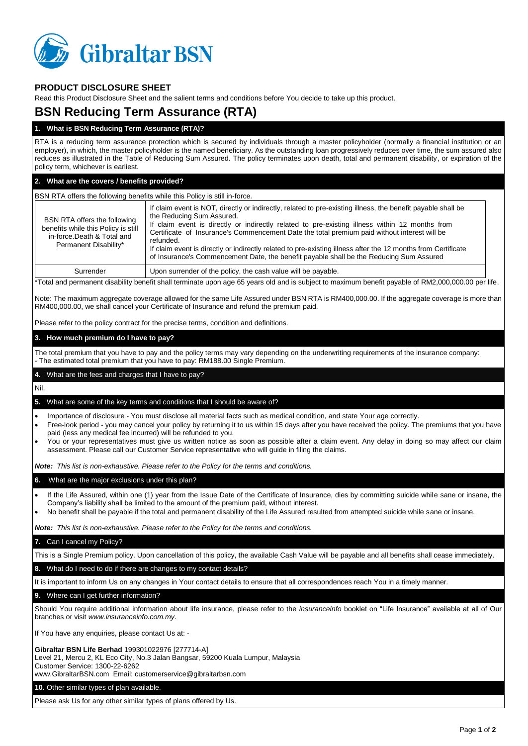

# **PRODUCT DISCLOSURE SHEET**

Read this Product Disclosure Sheet and the salient terms and conditions before You decide to take up this product.

# **BSN Reducing Term Assurance (RTA)**

### **1. What is BSN Reducing Term Assurance (RTA)?**

RTA is a reducing term assurance protection which is secured by individuals through a master policyholder (normally a financial institution or an employer), in which, the master policyholder is the named beneficiary. As the outstanding loan progressively reduces over time, the sum assured also reduces as illustrated in the Table of Reducing Sum Assured. The policy terminates upon death, total and permanent disability, or expiration of the policy term, whichever is earliest.

#### **2. What are the covers / benefits provided?**

#### BSN RTA offers the following benefits while this Policy is still in-force.

| BSN RTA offers the following<br>benefits while this Policy is still<br>in-force.Death & Total and<br>Permanent Disability* | If claim event is NOT, directly or indirectly, related to pre-existing illness, the benefit payable shall be<br>the Reducing Sum Assured.<br>If claim event is directly or indirectly related to pre-existing illness within 12 months from<br>Certificate of Insurance's Commencement Date the total premium paid without interest will be<br>refunded.<br>If claim event is directly or indirectly related to pre-existing illness after the 12 months from Certificate<br>of Insurance's Commencement Date, the benefit payable shall be the Reducing Sum Assured |
|----------------------------------------------------------------------------------------------------------------------------|----------------------------------------------------------------------------------------------------------------------------------------------------------------------------------------------------------------------------------------------------------------------------------------------------------------------------------------------------------------------------------------------------------------------------------------------------------------------------------------------------------------------------------------------------------------------|
| Surrender                                                                                                                  | Upon surrender of the policy, the cash value will be payable.                                                                                                                                                                                                                                                                                                                                                                                                                                                                                                        |

\*Total and permanent disability benefit shall terminate upon age 65 years old and is subject to maximum benefit payable of RM2,000,000.00 per life.

Note: The maximum aggregate coverage allowed for the same Life Assured under BSN RTA is RM400,000.00. If the aggregate coverage is more than RM400,000.00, we shall cancel your Certificate of Insurance and refund the premium paid.

Please refer to the policy contract for the precise terms, condition and definitions.

#### **3. How much premium do I have to pay?**

The total premium that you have to pay and the policy terms may vary depending on the underwriting requirements of the insurance company: - The estimated total premium that you have to pay: RM188.00 Single Premium.

## **4.** What are the fees and charges that I have to pay?

Nil.

#### **5.** What are some of the key terms and conditions that I should be aware of?

- Importance of disclosure You must disclose all material facts such as medical condition, and state Your age correctly.
- Free-look period you may cancel your policy by returning it to us within 15 days after you have received the policy. The premiums that you have paid (less any medical fee incurred) will be refunded to you.
- You or your representatives must give us written notice as soon as possible after a claim event. Any delay in doing so may affect our claim assessment. Please call our Customer Service representative who will guide in filing the claims.

*Note: This list is non-exhaustive. Please refer to the Policy for the terms and conditions.*

#### **6.** What are the major exclusions under this plan?

- If the Life Assured, within one (1) year from the Issue Date of the Certificate of Insurance, dies by committing suicide while sane or insane, the Company's liability shall be limited to the amount of the premium paid, without interest.
- No benefit shall be payable if the total and permanent disability of the Life Assured resulted from attempted suicide while sane or insane.

*Note: This list is non-exhaustive. Please refer to the Policy for the terms and conditions.*

#### **7.** Can I cancel my Policy?

This is a Single Premium policy. Upon cancellation of this policy, the available Cash Value will be payable and all benefits shall cease immediately.

#### **8.** What do I need to do if there are changes to my contact details?

It is important to inform Us on any changes in Your contact details to ensure that all correspondences reach You in a timely manner.

### **9.** Where can I get further information?

Should You require additional information about life insurance, please refer to the *insuranceinfo* booklet on "Life Insurance" available at all of Our branches or visit *www.insuranceinfo.com.my*.

If You have any enquiries, please contact Us at: -

**Gibraltar BSN Life Berhad** 199301022976 [277714-A]

Level 21, Mercu 2, KL Eco City, No.3 Jalan Bangsar, 59200 Kuala Lumpur, Malaysia Customer Service: 1300-22-6262

www.GibraltarBSN.com Email: customerservice@gibraltarbsn.com

**10.** Other similar types of plan available.

Please ask Us for any other similar types of plans offered by Us.